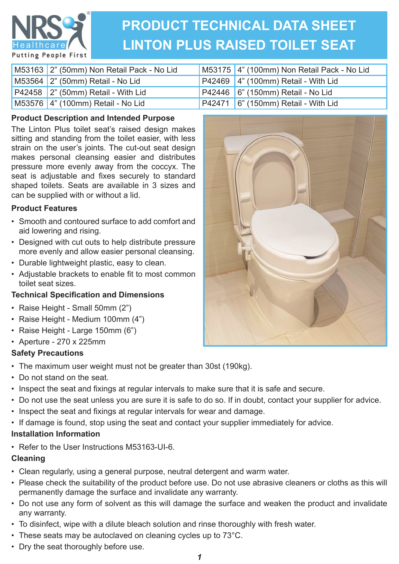

# **PRODUCT TECHNICAL DATA SHEET LINTON PLUS RAISED TOILET SEAT**

| M53163 2" (50mm) Non Retail Pack - No Lid | M53175 4" (100mm) Non Retail Pack - No Lid |
|-------------------------------------------|--------------------------------------------|
| M53564 2" (50mm) Retail - No Lid          | $P42469$ 4" (100mm) Retail - With Lid      |
| $P42458$ $2$ " (50mm) Retail - With Lid   | P42446 6" (150mm) Retail - No Lid          |
| M53576   4" (100mm) Retail - No Lid       | P42471 6" (150mm) Retail - With Lid        |

# **Product Description and Intended Purpose**

The Linton Plus toilet seat's raised design makes sitting and standing from the toilet easier, with less strain on the user's joints. The cut-out seat design makes personal cleansing easier and distributes pressure more evenly away from the coccyx. The seat is adjustable and fixes securely to standard shaped toilets. Seats are available in 3 sizes and can be supplied with or without a lid.

## **Product Features**

- Smooth and contoured surface to add comfort and aid lowering and rising.
- Designed with cut outs to help distribute pressure more evenly and allow easier personal cleansing.
- Durable lightweight plastic, easy to clean.
- Adjustable brackets to enable fit to most common toilet seat sizes.

# **Technical Specifi cation and Dimensions**

- Raise Height Small 50mm (2")
- Raise Height Medium 100mm (4")
- Raise Height Large 150mm (6")
- Aperture 270 x 225mm

# **Safety Precautions**

- The maximum user weight must not be greater than 30st (190kg).
- Do not stand on the seat.
- Inspect the seat and fixings at regular intervals to make sure that it is safe and secure.
- Do not use the seat unless you are sure it is safe to do so. If in doubt, contact your supplier for advice.
- Inspect the seat and fixings at regular intervals for wear and damage.
- If damage is found, stop using the seat and contact your supplier immediately for advice.

#### **Installation Information**

• Refer to the User Instructions M53163-UI-6.

#### **Cleaning**

- Clean regularly, using a general purpose, neutral detergent and warm water.
- Please check the suitability of the product before use. Do not use abrasive cleaners or cloths as this will permanently damage the surface and invalidate any warranty.
- Do not use any form of solvent as this will damage the surface and weaken the product and invalidate any warranty.
- To disinfect, wipe with a dilute bleach solution and rinse thoroughly with fresh water.
- These seats may be autoclaved on cleaning cycles up to 73°C.
- Dry the seat thoroughly before use.